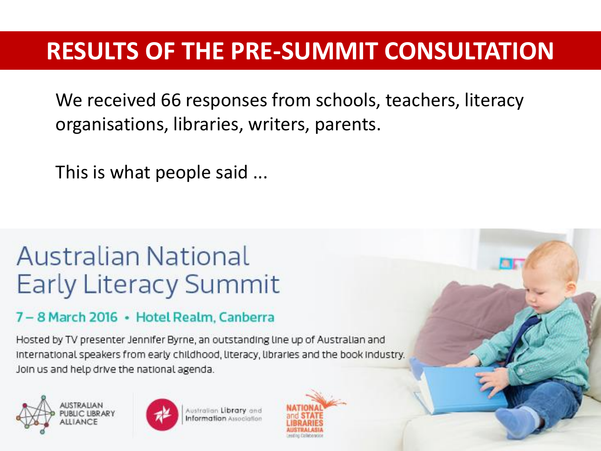#### **RESULTS OF THE PRE-SUMMIT CONSULTATION**

We received 66 responses from schools, teachers, literacy organisations, libraries, writers, parents.

This is what people said ...

#### Australian National **Early Literacy Summit**

#### 7-8 March 2016 · Hotel Realm, Canberra

Hosted by TV presenter Jennifer Byrne, an outstanding line up of Australian and International speakers from early childhood, literacy, libraries and the book industry. Join us and help drive the national agenda.





ustralian Library and **nformation** Association

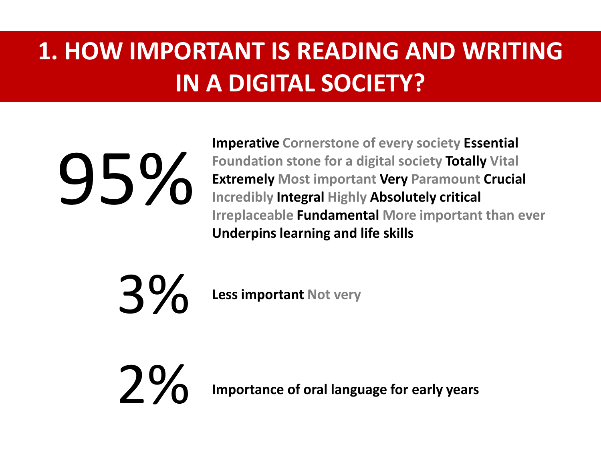#### **1. HOW IMPORTANT IS READING AND WRITING IN A DIGITAL SOCIETY?**

# 95%

**Imperative Cornerstone of every society Essential Foundation stone for a digital society Totally Vital Extremely Most important Very Paramount Crucial Incredibly Integral Highly Absolutely critical Irreplaceable Fundamental More important than ever Underpins learning and life skills** 

3% **Less important Not very** 

**2 % Importance of oral language for early years**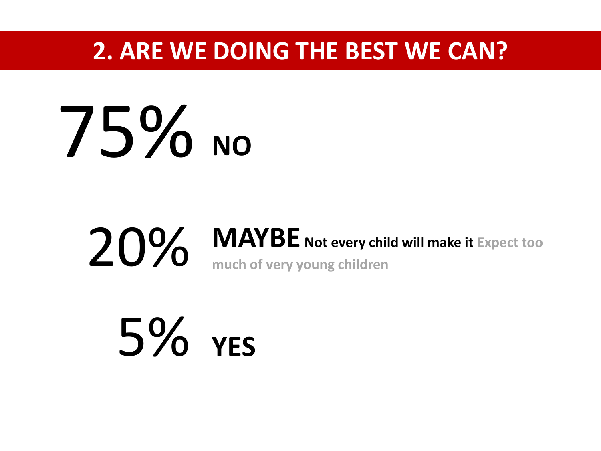#### **2. ARE WE DOING THE BEST WE CAN?**

### **NO** 75%

## 20% MAYBE Not every child will make it Expect too much of very young children

5% **YES**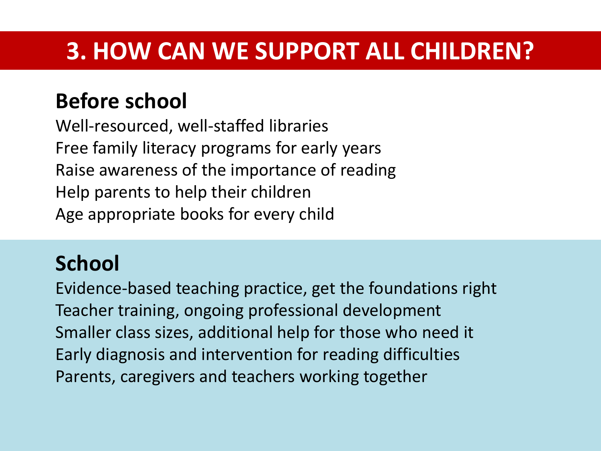#### **3. HOW CAN WE SUPPORT ALL CHILDREN?**

#### **Before school**

Well-resourced, well-staffed libraries Free family literacy programs for early years Raise awareness of the importance of reading Help parents to help their children Age appropriate books for every child

#### **School**

Evidence-based teaching practice, get the foundations right Teacher training, ongoing professional development Smaller class sizes, additional help for those who need it Early diagnosis and intervention for reading difficulties Parents, caregivers and teachers working together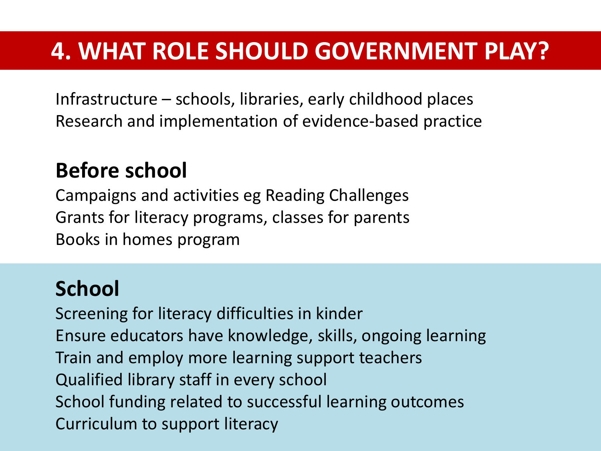#### **4. WHAT ROLE SHOULD GOVERNMENT PLAY?**

Infrastructure – schools, libraries, early childhood places Research and implementation of evidence-based practice

#### **Before school**

Campaigns and activities eg Reading Challenges Grants for literacy programs, classes for parents Books in homes program

#### **School**

Screening for literacy difficulties in kinder Ensure educators have knowledge, skills, ongoing learning Train and employ more learning support teachers Qualified library staff in every school School funding related to successful learning outcomes Curriculum to support literacy